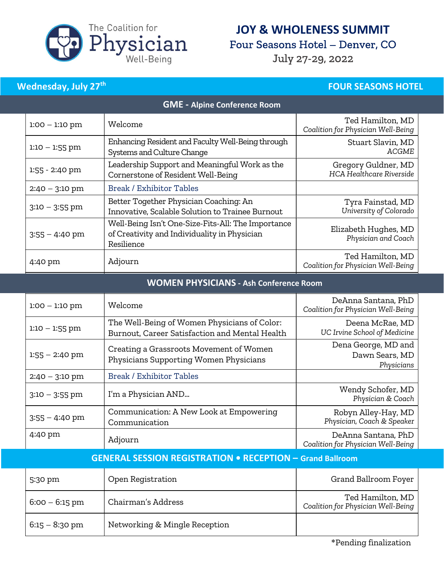

## JOY & WHOLENESS SUMMIT

Four Seasons Hotel - Denver, CO

July 27-29, 2022

### Wednesday, July  $27<sup>th</sup>$  FOUR SEASONS HOTEL

| <b>GME - Alpine Conference Room</b> |                                                                                                                  |                                                        |  |  |
|-------------------------------------|------------------------------------------------------------------------------------------------------------------|--------------------------------------------------------|--|--|
| $1:00 - 1:10$ pm                    | Welcome                                                                                                          | Ted Hamilton, MD<br>Coalition for Physician Well-Being |  |  |
| $1:10 - 1:55$ pm                    | Enhancing Resident and Faculty Well-Being through<br>Systems and Culture Change                                  | Stuart Slavin, MD<br>ACGME                             |  |  |
| 1:55 - 2:40 pm                      | Leadership Support and Meaningful Work as the<br>Cornerstone of Resident Well-Being                              | Gregory Guldner, MD<br><b>HCA Healthcare Riverside</b> |  |  |
| $2:40 - 3:10 \text{ pm}$            | Break / Exhibitor Tables                                                                                         |                                                        |  |  |
| $3:10 - 3:55$ pm                    | Better Together Physician Coaching: An<br>Innovative, Scalable Solution to Trainee Burnout                       | Tyra Fainstad, MD<br>University of Colorado            |  |  |
| $3:55 - 4:40$ pm                    | Well-Being Isn't One-Size-Fits-All: The Importance<br>of Creativity and Individuality in Physician<br>Resilience | Elizabeth Hughes, MD<br>Physician and Coach            |  |  |
| 4:40 pm                             | Adjourn                                                                                                          | Ted Hamilton, MD<br>Coalition for Physician Well-Being |  |  |

#### WOMEN PHYSICIANS - Ash Conference Room

| $1:00 - 1:10$ pm | Welcome                                                                                        | DeAnna Santana, PhD<br>Coalition for Physician Well-Being |
|------------------|------------------------------------------------------------------------------------------------|-----------------------------------------------------------|
| $1:10 - 1:55$ pm | The Well-Being of Women Physicians of Color:<br>Burnout, Career Satisfaction and Mental Health | Deena McRae, MD<br>UC Irvine School of Medicine           |
| $1:55 - 2:40$ pm | Creating a Grassroots Movement of Women<br>Physicians Supporting Women Physicians              | Dena George, MD and<br>Dawn Sears, MD<br>Physicians       |
| $2:40 - 3:10$ pm | <b>Break / Exhibitor Tables</b>                                                                |                                                           |
| $3:10 - 3:55$ pm | I'm a Physician AND                                                                            | Wendy Schofer, MD<br>Physician & Coach                    |
| $3:55 - 4:40$ pm | Communication: A New Look at Empowering<br>Communication                                       | Robyn Alley-Hay, MD<br>Physician, Coach & Speaker         |
| 4:40 pm          | Adjourn                                                                                        | DeAnna Santana, PhD<br>Coalition for Physician Well-Being |

| <b>GENERAL SESSION REGISTRATION . RECEPTION - Grand Ballroom</b> |                               |                                                        |  |
|------------------------------------------------------------------|-------------------------------|--------------------------------------------------------|--|
| 5:30 pm                                                          | Open Registration             | Grand Ballroom Foyer                                   |  |
| $6:00 - 6:15$ pm                                                 | Chairman's Address            | Ted Hamilton, MD<br>Coalition for Physician Well-Being |  |
| $6:15 - 8:30 \text{ pm}$                                         | Networking & Mingle Reception |                                                        |  |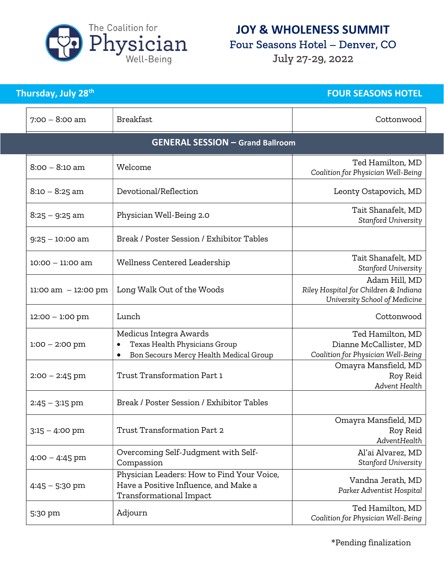

## JOY & WHOLENESS SUMMIT

Four Seasons Hotel - Denver, CO

July 27-29, 2022

| Thursday, July 28 <sup>th</sup> |                                                                                                                | <b>FOUR SEASONS HOTEL</b>                                                               |
|---------------------------------|----------------------------------------------------------------------------------------------------------------|-----------------------------------------------------------------------------------------|
| $7:00 - 8:00$ am                | <b>Breakfast</b>                                                                                               | Cottonwood                                                                              |
|                                 | <b>GENERAL SESSION - Grand Ballroom</b>                                                                        |                                                                                         |
| $8:00 - 8:10$ am                | Welcome                                                                                                        | Ted Hamilton, MD<br>Coalition for Physician Well-Being                                  |
| $8:10 - 8:25$ am                | Devotional/Reflection                                                                                          | Leonty Ostapovich, MD                                                                   |
| $8:25 - 9:25$ am                | Physician Well-Being 2.0                                                                                       | Tait Shanafelt, MD<br>Stanford University                                               |
| $9:25 - 10:00$ am               | Break / Poster Session / Exhibitor Tables                                                                      |                                                                                         |
| $10:00 - 11:00$ am              | Wellness Centered Leadership                                                                                   | Tait Shanafelt, MD<br>Stanford University                                               |
| $11:00$ am $-12:00$ pm          | Long Walk Out of the Woods                                                                                     | Adam Hill, MD<br>Riley Hospital for Children & Indiana<br>University School of Medicine |
| $12:00 - 1:00$ pm               | Lunch                                                                                                          | Cottonwood                                                                              |
| $1:00 - 2:00$ pm                | Medicus Integra Awards<br>Texas Health Physicians Group<br>Bon Secours Mercy Health Medical Group<br>$\bullet$ | Ted Hamilton, MD<br>Dianne McCallister, MD<br>Coalition for Physician Well-Being        |
| $2:00 - 2:45$ pm                | Trust Transformation Part 1                                                                                    | Omayra Mansfield, MD<br>Roy Reid<br>Advent Health                                       |
| $2:45 - 3:15$ pm                | Break / Poster Session / Exhibitor Tables                                                                      |                                                                                         |
| $3:15 - 4:00$ pm                | Trust Transformation Part 2                                                                                    | Omayra Mansfield, MD<br>Roy Reid<br>AdventHealth                                        |
| $4:00 - 4:45$ pm                | Overcoming Self-Judgment with Self-<br>Compassion                                                              | Al'ai Alvarez, MD<br>Stanford University                                                |
| $4:45 - 5:30$ pm                | Physician Leaders: How to Find Your Voice,<br>Have a Positive Influence, and Make a<br>Transformational Impact | Vandna Jerath, MD<br>Parker Adventist Hospital                                          |
| 5:30 pm                         | Adjourn                                                                                                        | Ted Hamilton, MD<br>Coalition for Physician Well-Being                                  |

\*Pending finalization